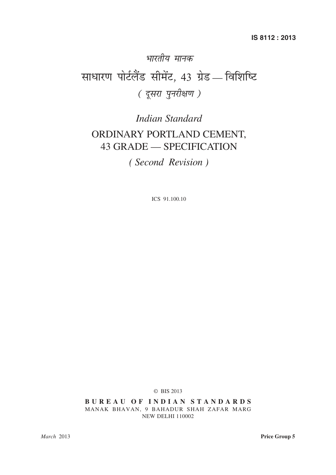# भारतीय मानक साधारण पोर्टलैंड सीमेंट, 43 ग्रेड — विशिष्टि ( दूसरा पुनरीक्षण )

# *Indian Standard* ORDINARY PORTLAND CEMENT, 43 GRADE — SPECIFICATION

*( Second Revision )*

ICS 91.100.10

© BIS 2013

**B U R E A U O F I N D I A N S T A N D A R D S** MANAK BHAVAN, 9 BAHADUR SHAH ZAFAR MARG NEW DELHI 110002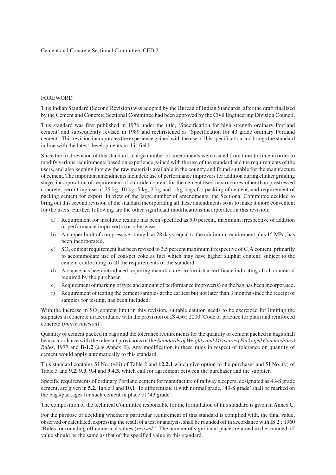#### FOREWORD

This Indian Standard (Second Revision) was adopted by the Bureau of Indian Standards, after the draft finalized by the Cement and Concrete Sectional Committee had been approved by the Civil Engineering Division Council.

This standard was first published in 1976 under the title, 'Specification for high strength ordinary Portland cement' and subsequently revised in 1989 and rechristened as 'Specification for 43 grade ordinary Portland cement'. This revision incorporates the experience gained with the use of this specification and brings the standard in line with the latest developments in this field.

Since the first revision of this standard, a large number of amendments were issued from time-to-time in order to modify various requirements based on experience gained with the use of the standard and the requirements of the users, and also keeping in view the raw materials available in the country and found suitable for the manufacture of cement. The important amendments included: use of performance improvers for addition during clinker grinding stage, incorporation of requirement of chloride content for the cement used in structures other than prestressed concrete, permitting use of 25 kg, 10 kg, 5 kg, 2 kg and 1 kg bags for packing of cement, and requirement of packing cement for export. In view of the large number of amendments, the Sectional Committee decided to bring out this second revision of the standard incorporating all these amendments so as to make it more convenient for the users. Further, following are the other significant modifications incorporated in this revision:

- a) Requirement for insoluble residue has been specified as 5.0 percent, maximum irrespective of addition of performance improver(s) or otherwise.
- b) An upper limit of compressive strength at 28 days, equal to the minimum requirement plus 15 MPa, has been incorporated.
- c) SO<sub>3</sub> content requirement has been revised to 3.5 percent maximum irrespective of  $C_3A$  content, primarily to accommodate use of coal/pet coke as fuel which may have higher sulphur content; subject to the cement conforming to all the requirements of the standard.
- d) A clause has been introduced requiring manufacturer to furnish a certificate indicating alkali content if required by the purchaser.
- e) Requirement of marking of type and amount of performance improver(s) on the bag has been incorporated.
- f) Requirement of testing the cement samples at the earliest but not later than 3 months since the receipt of samples for testing, has been included.

With the increase in  $SO_3$  content limit in this revision, suitable caution needs to be exercized for limiting the sulphates in concrete in accordance with the provision of IS 456 : 2000 'Code of practice for plain and reinforced concrete (*fourth revision*)'.

Quantity of cement packed in bags and the tolerance requirements for the quantity of cement packed in bags shall be in accordance with the relevant provisions of the *Standards of Weights and Measures (Packaged Commodities) Rules*, 1977 and **B-1.2** (*see* Annex B). Any modification in these rules in respect of tolerance on quantity of cement would apply automatically to this standard.

This standard contains Sl No. (viii) of Table 2 and **12.2.1** which give option to the purchaser and Sl No. (v) of Table 3 and **9.2**, **9.3**, **9.4** and **9.4.3**, which call for agreement between the purchaser and the supplier.

Specific requirements of ordinary Portland cement for manufacture of railway sleepers, designated as 43-S grade cement, are given in **5.2**, Table 3 and **10.1**. To differentiate it with normal grade, '43-S grade' shall be marked on the bags/packages for such cement in place of '43 grade'.

The composition of the technical Committee responsible for the formulation of this standard is given in Annex C.

For the purpose of deciding whether a particular requirement of this standard is complied with, the final value, observed or calculated, expressing the result of a test or analysis, shall be rounded off in accordance with IS 2 : 1960 'Rules for rounding off numerical values (*revised*)'. The number of significant places retained in the rounded off value should be the same as that of the specified value in this standard.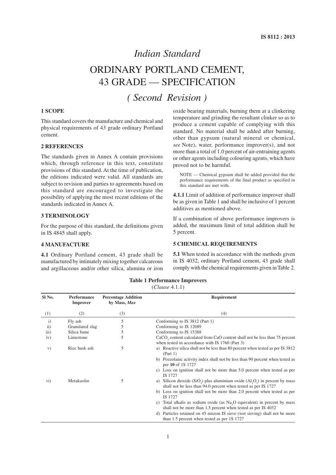### *Indian Standard*

# ORDINARY PORTLAND CEMENT, 43 GRADE — SPECIFICATION

## *( Second Revision )*

#### **1 SCOPE**

This standard covers the manufacture and chemical and physical requirements of 43 grade ordinary Portland cement.

#### **2 REFERENCES**

The standards given in Annex A contain provisions which, through reference in this text, constitute provisions of this standard. At the time of publication, the editions indicated were valid. All standards are subject to revision and parties to agreements based on this standard are encouraged to investigate the possibility of applying the most recent editions of the standards indicated in Annex A.

#### **3 TERMINOLOGY**

For the purpose of this standard, the definitions given in IS 4845 shall apply.

#### **4 MANUFACTURE**

**4.1** Ordinary Portland cement, 43 grade shall be manufactured by intimately mixing together calcareous and argillaceous and/or other silica, alumina or iron oxide bearing materials, burning them at a clinkering temperature and grinding the resultant clinker so as to produce a cement capable of complying with this standard. No material shall be added after burning, other than gypsum (natural mineral or chemical, *see* Note), water, performance improver(s), and not more than a total of 1.0 percent of air-entraining agents or other agents including colouring agents, which have proved not to be harmful.

NOTE — Chemical gypsum shall be added provided that the performance requirements of the final product as specified in this standard are met with.

**4.1.1** Limit of addition of performance improver shall be as given in Table 1 and shall be inclusive of 1 percent additives as mentioned above.

If a combination of above performance improvers is added, the maximum limit of total addition shall be 5 percent.

#### **5 CHEMICAL REQUIREMENTS**

**5.1** When tested in accordance with the methods given in IS 4032, ordinary Portland cement, 43 grade shall comply with the chemical requirements given in Table 2.

| SI No.       | Performance<br><b>Improver</b> | <b>Percentage Addition</b><br>by Mass, Max | Requirement                                                                                                                                                                                                                                                                                                                                                                                                                                                                                                                      |
|--------------|--------------------------------|--------------------------------------------|----------------------------------------------------------------------------------------------------------------------------------------------------------------------------------------------------------------------------------------------------------------------------------------------------------------------------------------------------------------------------------------------------------------------------------------------------------------------------------------------------------------------------------|
| (1)          | (2)                            | (3)                                        | (4)                                                                                                                                                                                                                                                                                                                                                                                                                                                                                                                              |
| $\mathbf{i}$ | Fly ash                        | 5                                          | Conforming to IS 3812 (Part 1)                                                                                                                                                                                                                                                                                                                                                                                                                                                                                                   |
| ii)          | Granulated slag                | 5                                          | Conforming to IS 12089                                                                                                                                                                                                                                                                                                                                                                                                                                                                                                           |
| iii)         | Silica fume                    | 5                                          | Conforming to IS 15388                                                                                                                                                                                                                                                                                                                                                                                                                                                                                                           |
| iv)          | Limestone                      | 5                                          | CaCO <sub>2</sub> content calculated from CaO content shall not be less than 75 percent<br>when tested in accordance with IS 1760 (Part 3)                                                                                                                                                                                                                                                                                                                                                                                       |
| V)           | Rice husk ash                  | 5                                          | a) Reactive silica shall not be less than 80 percent when tested as per IS 3812<br>(Part 1)<br>b) Pozzolanic activity index shall not be less than 90 percent when tested as<br>per 10 of 1S 1727<br>c) Loss on ignition shall not be more than 5.0 percent when tested as per<br>IS 1727                                                                                                                                                                                                                                        |
| $\rm{vi})$   | Metakaolin                     | 5                                          | a) Silicon dioxide (SiO <sub>2</sub> ) plus aluminium oxide $(A1, O_3)$ in percent by mass<br>shall not be less than 94.0 percent when tested as per IS 1727<br>b) Loss on ignition shall not be more than 2.0 percent when tested as per<br>IS 1727<br>c) Total alkalis as sodium oxide (as Na, O equivalent) in percent by mass<br>shall not be more than 1.5 percent when tested as per IS 4032<br>d) Particles retained on 45 micron IS sieve (wet sieving) shall not be more<br>than 1.5 percent when tested as per 1S 1727 |

### **Table 1 Performance Improvers**

#### (*Clause* 4.1.1)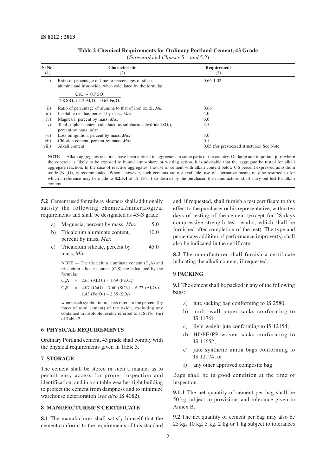| SI <sub>No.</sub> | <b>Characteristic</b>                                                                                            | Requirement                                |
|-------------------|------------------------------------------------------------------------------------------------------------------|--------------------------------------------|
| (1)               | (2)                                                                                                              | (3)                                        |
| $\mathbf{i}$      | Ratio of percentage of lime to percentages of silica,<br>alumina and iron oxide, when calculated by the formula: | $0.66 - 1.02$                              |
|                   | $CaO - 0.7$ SO <sub>3</sub>                                                                                      |                                            |
|                   | $2.8$ SiO <sub>2</sub> + 1.2 Al <sub>2</sub> O <sub>3</sub> + 0.65 Fe <sub>2</sub> O <sub>3</sub>                |                                            |
| $\mathbf{ii}$     | Ratio of percentage of alumina to that of iron oxide, Min                                                        | 0.66                                       |
| iii)              | Insoluble residue, percent by mass, Max                                                                          | 4.0                                        |
| iv)               | Magnesia, percent by mass, Max                                                                                   | 6.0                                        |
| V)                | Total sulphur content calculated as sulphuric anhydride (SO <sub>2</sub> ),                                      | 3.5                                        |
|                   | percent by mass, Max                                                                                             |                                            |
| $\rm vi)$         | Loss on ignition, percent by mass, Max                                                                           | 5.0                                        |
| vii)              | Chloride content, percent by mass, Max                                                                           | 0.1                                        |
| viii)             | Alkali content                                                                                                   | 0.05 (for prestressed structures) See Note |

#### **Table 2 Chemical Requirements for Ordinary Portland Cement, 43 Grade**

(*Foreword* and *Clauses* 5.1 *and* 5.2)

NOTE — Alkali aggregates reactions have been noticed in aggregates in some parts of the country. On large and important jobs where the concrete is likely to be exposed to humid atmosphere or wetting action, it is advisable that the aggregate be tested for alkali aggregate reaction. In the case of reactive aggregates, the use of cement with alkali content below 0.6 percent expressed as sodium oxide (Na2O), is recommended. Where, however, such cements are not available, use of alternative means may be resorted to for which a reference may be made to **8.2.5.4** of IS 456. If so desired by the purchaser, the manufacturer shall carry out test for alkali content.

**5.2** Cement used for railway sleepers shall additionally satisfy the following chemical/mineralogical requirements and shall be designated as 43-S grade:

| a) |  |  |  | Magnesia, percent by mass, Max | 5.0 |
|----|--|--|--|--------------------------------|-----|
|----|--|--|--|--------------------------------|-----|

- b) Tricalcium aluminate content, 10.0 percent by mass, *Max*
- c) Tricalcium silicate, percent by 45.0 mass, *Min*

NOTE — The tricalcium aluminate content  $(C_3A)$  and tricalcium silicate content  $(C_3S)$  are calculated by the formula:

$$
C_3A = 2.65 (A_2O_3) - 1.69 (Fe_2O_3)
$$
  
\n
$$
C_3S = 4.07 (CaO) - 7.60 (SiO_2) - 6.72 (Al_2O_3) - 1.43 (Fe_2O_3) - 2.85 (SO_3)
$$

where each symbol in brackets refers to the percent (by mass of total cement) of the oxide, excluding any contained in insoluble residue referred to at Sl No. (iii) of Table 2.

#### **6 PHYSICAL REQUIREMENTS**

Ordinary Portland cement, 43 grade shall comply with the physical requirements given in Table 3.

#### **7 STORAGE**

The cement shall be stored in such a manner as to permit easy access for proper inspection and identification, and in a suitable weather-tight building to protect the cement from dampness and to minimize warehouse deterioration (*see also* IS 4082).

#### **8 MANUFACTURER'S CERTIFICATE**

**8.1** The manufacturer shall satisfy himself that the cement conforms to the requirements of this standard and, if requested, shall furnish a test certificate to this effect to the purchaser or his representative, within ten days of testing of the cement (except for 28 days compressive strength test results, which shall be furnished after completion of the test). The type and percentage addition of performance improver(s) shall also be indicated in the certificate.

**8.2** The manufacturer shall furnish a certificate indicating the alkali content, if requested.

#### **9 PACKING**

**9.1** The cement shall be packed in any of the following bags:

- a) jute sacking bag conforming to IS 2580;
- b) multi-wall paper sacks conforming to IS 11761;
- c) light weight jute conforming to IS 12154;
- d) HDPE/PP woven sacks conforming to IS 11652;
- e) jute synthetic union bags conforming to IS 12174; or
- f) any other approved composite bag.

Bags shall be in good condition at the time of inspection.

**9.1.1** The net quantity of cement per bag shall be 50 kg subject to provisions and tolerance given in Annex B.

**9.2** The net quantity of cement per bag may also be 25 kg, 10 kg, 5 kg, 2 kg or 1 kg subject to tolerances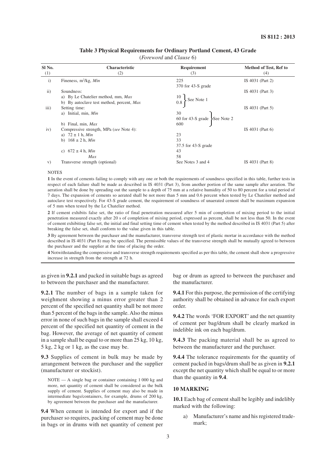#### **Table 3 Physical Requirements for Ordinary Portland Cement, 43 Grade**

(*Foreword* and *Clause* 6)

| <b>Characteristic</b>                                                                                               | <b>Requirement</b>                                     | Method of Test, Ref to   |
|---------------------------------------------------------------------------------------------------------------------|--------------------------------------------------------|--------------------------|
| (2)                                                                                                                 | (3)                                                    | (4)                      |
| Fineness, $m^2/kg$ , Min                                                                                            | 225<br>370 for 43-S grade                              | IS 4031 (Part 2)         |
| Soundness:<br>a) By Le Chatelier method, mm, Max<br>b) By autoclave test method, percent, Max                       | 10<br>See Note 1<br>0.8                                | IS 4031 (Part 3)         |
| Setting time:<br>Initial, min, Min<br>a)                                                                            | 30<br>60 for 43-S grade See Note 2                     | IS 4031 (Part 5)         |
| Compressive strength, MPa (see Note 4):<br>a) $72 \pm 1$ h, <i>Min</i><br>$168 \pm 2$ h, <i>Min</i><br>$\mathbf{b}$ | 23<br>33<br>$37.5$ for $43-S$ grade                    | IS $4031$ (Part 6)       |
| $672 \pm 4$ h, <i>Min</i><br>C)<br>Max                                                                              | 43<br>58                                               | IS 4031 (Part 8)         |
|                                                                                                                     | b) Final, min, $Max$<br>Transverse strength (optional) | 600<br>See Notes 3 and 4 |

#### **NOTES**

**1** In the event of cements failing to comply with any one or both the requirements of soundness specified in this table, further tests in respect of each failure shall be made as described in IS 4031 (Part 3), from another portion of the same sample after aeration. The aeration shall be done by spreading out the sample to a depth of 75 mm at a relative humidity of 50 to 80 percent for a total period of 7 days. The expansion of cements so aerated shall be not more than 5 mm and 0.6 percent when tested by Le Chatelier method and autoclave test respectively. For 43-S grade cement, the requirement of soundness of unaerated cement shall be maximum expansion of 5 mm when tested by the Le Chatelier method.

**2** If cement exhibits false set, the ratio of final penetration measured after 5 min of completion of mixing period to the initial penetration measured exactly after 20 s of completion of mixing period, expressed as percent, shall be not less than 50. In the event of cement exhibiting false set, the initial and final setting time of cement when tested by the method described in IS 4031 (Part 5) after breaking the false set, shall conform to the value given in this table.

**3** By agreement between the purchaser and the manufacturer, transverse strength test of plastic mortar in accordance with the method described in IS 4031 (Part 8) may be specified. The permissible values of the transverse strength shall be mutually agreed to between the purchaser and the supplier at the time of placing the order.

**4** Notwithstanding the compressive and transverse strength requirements specified as per this table, the cement shall show a progressive increase in strength from the strength at 72 h.

as given in **9.2.1** and packed in suitable bags as agreed to between the purchaser and the manufacturer.

**9.2.1** The number of bags in a sample taken for weighment showing a minus error greater than 2 percent of the specified net quantity shall be not more than 5 percent of the bags in the sample. Also the minus error in none of such bags in the sample shall exceed 4 percent of the specified net quantity of cement in the bag. However, the average of net quantity of cement in a sample shall be equal to or more than 25 kg, 10 kg, 5 kg, 2 kg or 1 kg, as the case may be.

**9.3** Supplies of cement in bulk may be made by arrangement between the purchaser and the supplier (manufacturer or stockist).

NOTE — A single bag or container containing 1 000 kg and more, net quantity of cement shall be considered as the bulk supply of cement. Supplies of cement may also be made in intermediate bags/containers, for example, drums of 200 kg, by agreement between the purchaser and the manufacturer.

**9.4** When cement is intended for export and if the purchaser so requires, packing of cement may be done in bags or in drums with net quantity of cement per bag or drum as agreed to between the purchaser and the manufacturer.

**9.4.1** For this purpose, the permission of the certifying authority shall be obtained in advance for each export order.

**9.4.2** The words 'FOR EXPORT' and the net quantity of cement per bag/drum shall be clearly marked in indelible ink on each bag/drum.

**9.4.3** The packing material shall be as agreed to between the manufacturer and the purchaser.

**9.4.4** The tolerance requirements for the quantity of cement packed in bags/drum shall be as given in **9.2.1** except the net quantity which shall be equal to or more than the quantity in **9.4**.

#### **10 MARKING**

**10.1** Each bag of cement shall be legibly and indelibly marked with the following:

a) Manufacturer's name and his registered trademark;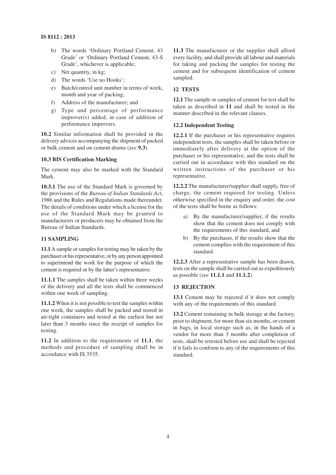- b) The words 'Ordinary Portland Cement, 43 Grade' or 'Ordinary Portland Cement, 43-S Grade', whichever is applicable;
- c) Net quantity, in kg;
- d) The words 'Use no Hooks';
- e) Batch/control unit number in terms of week, month and year of packing;
- f) Address of the manufacturer; and
- g) Type and percentage of performance improver(s) added, in case of addition of performance improvers.

**10.2** Similar information shall be provided in the delivery advices accompanying the shipment of packed or bulk cement and on cement drums (*see* **9.3**).

#### **10.3 BIS Certification Marking**

The cement may also be marked with the Standard Mark.

**10.3.1** The use of the Standard Mark is governed by the provisions of the *Bureau of Indian Standards Act*, 1986 and the Rules and Regulations made thereunder. The details of conditions under which a license for the use of the Standard Mark may be granted to manufacturers or producers may be obtained from the Bureau of Indian Standards.

#### **11 SAMPLING**

**11.1** A sample or samples for testing may be taken by the purchaser or his representative, or by any person appointed to superintend the work for the purpose of which the cement is required or by the latter's representative.

**11.1.1** The samples shall be taken within three weeks of the delivery and all the tests shall be commenced within one week of sampling.

**11.1.2** When it is not possible to test the samples within one week, the samples shall be packed and stored in air-tight containers and tested at the earliest but not later than 3 months since the receipt of samples for testing.

**11.2** In addition to the requirements of **11.1**, the methods and procedure of sampling shall be in accordance with IS 3535.

**11.3** The manufacturer or the supplier shall afford every facility, and shall provide all labour and materials for taking and packing the samples for testing the cement and for subsequent identification of cement sampled.

#### **12 TESTS**

**12.1** The sample or samples of cement for test shall be taken as described in **11** and shall be tested in the manner described in the relevant clauses.

#### **12.2 Independent Testing**

**12.2.1** If the purchaser or his representative requires independent tests, the samples shall be taken before or immediately after delivery at the option of the purchaser or his representative, and the tests shall be carried out in accordance with this standard on the written instructions of the purchaser or his representative.

**12.2.2** The manufacturer/supplier shall supply, free of charge, the cement required for testing. Unless otherwise specified in the enquiry and order, the cost of the tests shall be borne as follows:

- a) By the manufacturer/supplier, if the results show that the cement does not comply with the requirements of this standard, and
- b) By the purchaser, if the results show that the cement complies with the requirement of this standard.

**12.2.3** After a representative sample has been drawn, tests on the sample shall be carried out as expeditiously as possible (*see* **11.1.1** and **11.1.2**).

#### **13 REJECTION**

**13.1** Cement may be rejected if it does not comply with any of the requirements of this standard.

**13.2** Cement remaining in bulk storage at the factory, prior to shipment, for more than six months, or cement in bags, in local storage such as, in the hands of a vendor for more than 3 months after completion of tests, shall be retested before use and shall be rejected if it fails to conform to any of the requirements of this standard.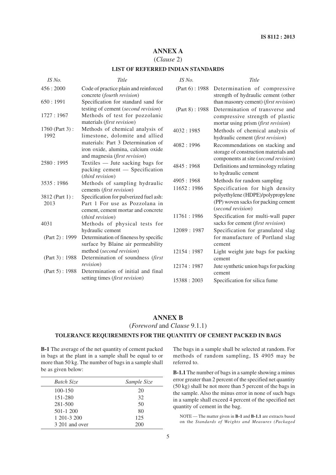#### **ANNEX A**

#### (*Clause* 2)

#### **LIST OF REFERRED INDIAN STANDARDS**

| IS No.                 | Title                                                                                                          | IS No.         | Title                                                                                                            |
|------------------------|----------------------------------------------------------------------------------------------------------------|----------------|------------------------------------------------------------------------------------------------------------------|
| 456:2000               | Code of practice plain and reinforced<br>concrete (fourth revision)                                            | (Part 6): 1988 | Determination of compressive<br>strength of hydraulic cement (other                                              |
| 650:1991               | Specification for standard sand for                                                                            |                | than masonry cement) (first revision)                                                                            |
| 1727: 1967             | testing of cement (second revision)<br>Methods of test for pozzolanic<br>materials (first revision)            | (Part 8): 1988 | Determination of transverse and<br>compressive strength of plastic<br>mortar using prism (first revision)        |
| 1760 (Part 3):<br>1992 | Methods of chemical analysis of<br>limestone, dolomite and allied                                              | 4032:1985      | Methods of chemical analysis of<br>hydraulic cement (first revision)                                             |
|                        | materials: Part 3 Determination of<br>iron oxide, alumina, calcium oxide<br>and magnesia (first revision)      | 4082:1996      | Recommendations on stacking and<br>storage of construction materials and<br>components at site (second revision) |
| 2580:1995              | Textiles — Jute sacking bags for<br>packing cement - Specification<br>( <i>third revision</i> )                | 4845:1968      | Definitions and terminology relating<br>to hydraulic cement                                                      |
| 3535:1986              | Methods of sampling hydraulic                                                                                  | 4905:1968      | Methods for random sampling                                                                                      |
|                        | cements (first revision)                                                                                       | 11652:1986     | Specification for high density                                                                                   |
| 3812 (Part 1):<br>2013 | Specification for pulverized fuel ash:<br>Part 1 For use as Pozzolana in<br>cement, cement mortar and concrete |                | polyethylene (HDPE)/polypropylene<br>(PP) woven sacks for packing cement<br>(second revision)                    |
|                        | (third revision)                                                                                               | 11761 : 1986   | Specification for multi-wall paper                                                                               |
| 4031                   | Methods of physical tests for                                                                                  |                | sacks for cement (first revision)                                                                                |
|                        | hydraulic cement                                                                                               | 12089:1987     | Specification for granulated slag                                                                                |
| (Part 2): 1999         | Determination of fineness by specific<br>surface by Blaine air permeability                                    |                | for manufacture of Portland slag<br>cement                                                                       |
|                        | method (second revision)                                                                                       | 12154:1987     | Light weight jute bags for packing                                                                               |
| (Part 3): 1988         | Determination of soundness (first                                                                              |                | cement                                                                                                           |
| (Part 5): 1988         | <i>revision</i> )<br>Determination of initial and final                                                        | 12174:1987     | Jute synthetic union bags for packing<br>cement                                                                  |
|                        | setting times (first revision)                                                                                 | 15388 : 2003   | Specification for silica fume                                                                                    |

### **ANNEX B**

(*Foreword* and *Clause* 9.1.1)

#### **TOLERANCE REQUIREMENTS FOR THE QUANTITY OF CEMENT PACKED IN BAGS**

**B-1** The average of the net quantity of cement packed in bags at the plant in a sample shall be equal to or more than 50 kg. The number of bags in a sample shall be as given below:

| Batch Size     | Sample Size |
|----------------|-------------|
| 100-150        | 20          |
| 151-280        | 32          |
| 281-500        | 50          |
| $501 - 1200$   | 80          |
| 1 201-3 200    | 125         |
| 3 201 and over | 200         |

The bags in a sample shall be selected at random. For methods of random sampling, IS 4905 may be referred to.

**B-1.1** The number of bags in a sample showing a minus error greater than 2 percent of the specified net quantity (50 kg) shall be not more than 5 percent of the bags in the sample. Also the minus error in none of such bags in a sample shall exceed 4 percent of the specified net quantity of cement in the bag.

NOTE — The matter given in **B-1** and **B-1.1** are extracts based on the *Standards of Weights and Measures (Packaged*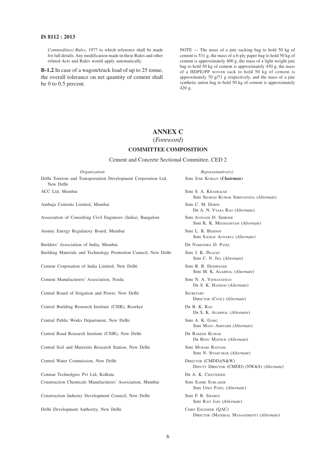#### **IS 8112 : 2013**

*Commodities) Rules*, 1977 to which reference shall be made for full details. Any modification made in these Rules and other related Acts and Rules would apply automatically.

**B-1.2** In case of a wagon/truck load of up to 25 tonne, the overall tolerance on net quantity of cement shall be 0 to 0.5 percent.

NOTE — The mass of a jute sacking bag to hold 50 kg of cement is 531 g, the mass of a 6-ply paper bag to hold 50 kg of cement is approximately 400 g, the mass of a light weight jute bag to hold 50 kg of cement is approximately 450 g, the mass of a HDPE/PP woven sack to hold 50 kg of cement is approximately 70 g/71 g respectively, and the mass of a jute synthetic union bag to hold 50 kg of cement is approximately 420 g.

#### **ANNEX C**

#### (*Foreword*)

#### **COMMITTEE COMPOSITION**

#### Cement and Concrete Sectional Committee, CED 2

*Organization Representative(s)* Delhi Tourism and Transportation Development Corporation Ltd, SHRI JOSE KURIAN (*Chairman*) New Delhi ACC Ltd, Mumbai SHRI S. A. KHADILKAR Ambuja Cements Limited, Mumbai SHRI C. M. DORDI Association of Consulting Civil Engineers (India), Bangalore SHRI AVINASH D. SHIRODE Atomic Energy Regulatory Board, Mumbai SHRI L. R. BISHNOI Builders' Association of India, Mumbai DR NARENDRA D. PATEL Building Materials and Technology Promotion Council, New Delhi SHRI J. K. PRASAD Cement Corporation of India Limited, New Delhi SHRI R. R. DESHPANDE Cement Manufacturers' Association, Noida SHRI N. A. VISWANATHAN

Central Board of Irrigation and Power, New Delhi SECRETARY

Central Building Research Institute (CSIR), Roorkee DR B. K. RAO

Central Public Works Department, New Delhi SHRI A. K. GARG

Central Road Research Institute (CSIR), New Delhi DR RAKESH KUMAR

Central Soil and Materials Research Station, New Delhi SHRI MURARI RATNAM

Central Water Commission, New Delhi DIRECTOR (CMDD)(N&W)

Conmat Technolgies Pvt Ltd, Kolkata DR A. K. CHATTERJEE **Construction Chemicals Manufacturers' Association, Mumbai SHRI SAMIR SURLAKER** 

Construction Industry Development Council, New Delhi SHRI P. R. SWARUP

Delhi Development Authority, New Delhi CHIEF ENGINEER (QAC)

SHRI SHARAD KUMAR SHRIVASTAVA (*Alternate*) DR A. N. VYASA RAO (*Alternate*)

SHRI K. K. MEGHASHYAM (*Alternate*)

SHRI SAURAV ACHARYA (*Alternate*)

SHRI C. N. JHA (*Alternate*)

SHRI M. K. AGARWAL (*Alternate*)

DR S. K. HANDOO (*Alternate*)

DIRECTOR (CIVIL) (*Alternate*)

DR S. K. AGARWAL (*Alternate*)

SHRI MANU AMITABH (*Alternate*)

DR RENU MATHUR (*Alternate*)

SHRI N. SIVAKUMAR (*Alternate*)

DEPUTY DIRECTOR (CMDD) (NW&S) (*Alternate*)

SHRI UPEN PATEL (*Alternate*)

SHRI RAVI JAIN (*Alternate*)

DIRECTOR (MATERIAL MANAGEMENT) (*Alternate*)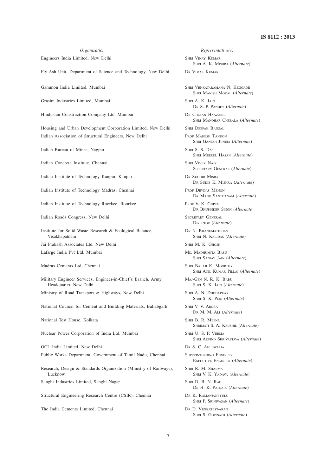Engineers India Limited, New Delhi SHRI VINAY KUMAR

Fly Ash Unit, Department of Science and Technology, New Delhi DR VIMAL KUMAR

Grasim Industries Limited, Mumbai SHRI A. K. JAIN

Hindustan Construction Company Ltd, Mumbai DR CHETAN HAAZAREE

Housing and Urban Development Corporation Limited, New Delhi SHRI DEEPAK BANSAL Indian Association of Structural Engineers, New Delhi PROF MAHESH TANDON

Indian Bureau of Mines, Nagpur SHRI S. S. DAS

Indian Concrete Institute, Chennai SHRI VIVEK NAIK

Indian Institute of Technology Kanpur, Kanpur DR SUDHIR MISRA

Indian Institute of Technology Madras, Chennai PROF DEVDAS MENON

Indian Institute of Technology Roorkee, Roorkee PROF V. K. GUPTA

Indian Roads Congress, New Delhi SECRETARY GENERAL

Institute for Solid Waste Research & Ecological Balance, DR N. BHANUMATHIDAS Visakhapatnam SHRI N. KALIDAS (*Alternate*)

Jai Prakash Associates Ltd, New Delhi SHRI M. K. GHOSH

Lafarge India Pvt Ltd, Mumbai MS. MADHUMITA BASU

Madras Cements Ltd, Chennai SHRI BALAJI K. MOORTHY

Military Engineer Services, Engineer-in-Chief's Branch, Army MAJ-GEN N. R. K. BABU Headquarter, New Delhi SHRI S. K. JAIN (*Alternate*)

Ministry of Road Transport & Highways, New Delhi SHRI A. N. DHODAPKAR

National Council for Cement and Building Materials, Ballabgarh SHRI V. V. ARORA

National Test House, Kolkata SHRI B. R. MEENA

Nuclear Power Corporation of India Ltd, Mumbai SHRI U. S. P. VERMA

OCL India Limited, New Delhi DR S. C. AHLUWALIA

Public Works Department, Government of Tamil Nadu, Chennai SUPERINTENDING ENGINEER

Research, Design & Standards Organization (Ministry of Railways), SHRI R. M. SHARMA Lucknow SHRI V. K. YADAVA (*Alternate*)

Sanghi Industries Limited, Sanghi Nagar SHRI D. B. N. RAO

Structural Engineering Research Centre (CSIR), Chennai DR K. RAMANJANEYULU

The India Cements Limited, Chennai DR D. VENKATESWARAN

#### *Organization Representative(s)*

SHRI A. K. MISHRA (*Alternate*)

Gammon India Limited, Mumbai SHRI VENKATARAMANA N. HEGGADE SHRI MANISH MOKAL (*Alternate*)

DR S. P. PANDEY (*Alternate*)

SHRI MANOHAR CHERALA (*Alternate*)

SHRI GANESH JUNEJA (*Alternate*)

SHRI MEERUL HASAN (*Alternate*)

SECRETARY GENERAL (*Alternate*)

DR SUDIB K. MISHRA (*Alternate*)

DR MANU SANTHANAM (*Alternate*)

DR BHUPINDER SINGH (*Alternate*)

DIRECTOR (*Alternate*)

SHRI SANJAY JAIN (*Alternate*)

SHRI ANIL KUMAR PILLAI (*Alternate*)

SHRI S. K. PURI (*Alternate*)

DR M. M. ALI (*Alternate*)

SHRIMATI S. A. KAUSHIL (*Alternate*)

SHRI ARVIND SHRIVASTAVA (*Alternate*)

EXECUTIVE ENGINEER (*Alternate*)

DR H. K. PATNAIK (*Alternate*)

SHRI P. SRINIVASAN (*Alternate*)

SHRI S. GOPINATH (*Alternate*)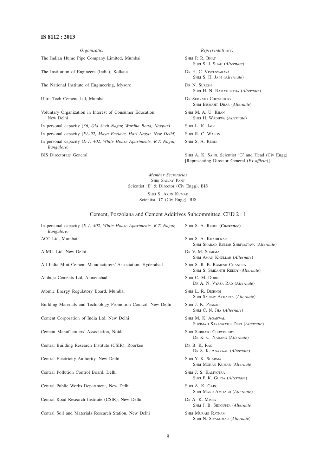#### **IS 8112 : 2013**

*Organization Representative(s)* The Indian Hume Pipe Company Limited, Mumbai SHRI P. R. BHAT SHRI S. J. SHAH (*Alternate*) The Institution of Engineers (India), Kolkata DR H. C. VISVESVARAYA SHRI S. H. JAIN (*Alternate*) The National Institute of Engineering, Mysore DR N. SURESH SHRI H. N. RAMATHIRTHA (*Alternate*) Ultra Tech Cement Ltd, Mumbai DR SUBRATO CHOWDHURY SHRI BISWAJIT DHAR (*Alternate*) Voluntary Organization in Interest of Consumer Education, SHRI M. A. U. KHAN New Delhi SHRI H. WADHWA (*Alternate*) In personal capacity (*36, Old Sneh Nagar, Wardha Road, Nagpur)* SHRI L. K. JAIN In personal capacity (*EA-92, Maya Enclave, Hari Nagar, New Delhi*) SHRI R. C. WASON In personal capacity (*E-1, 402, White House Apartments, R.T. Nagar,* SHRI S. A. REDDI *Bangalore*) BIS Directorate General SHRI A. K. SAINI, Scientist 'G' and Head (Civ Engg) [Representing Director General (*Ex-officio*)]

> *Member Secretaries* SHRI SANJAY PANT Scientist 'E' & Director (Civ Engg), BIS

> > SHRI S. ARUN KUMAR Scientist 'C' (Civ Engg), BIS

#### Cement, Pozzolana and Cement Additives Subcommittee, CED 2 : 1

In personal capacity (*E-1, 402, White House Apartments, R.T. Nagar,* SHRI S. A. REDDI (*Convener*) *Bangalore)*

All India Mini Cement Manufacturers' Association, Hyderabad SHRI S. R. B. RAMESH CHANDRA

Ambuja Cements Ltd, Ahmedabad SHRI C. M. DORDI

Atomic Energy Regulatory Board, Mumbai SHRI L. R. BISHNOI

Building Materials and Technology Promotion Council, New Delhi SHRI J. K. PRASAD

Cement Corporation of India Ltd, New Delhi SHRI M. K. AGARWAL

Cement Manufactuters' Association, Noida SHRI SUBRATO CHOWDHURY

Central Building Research Institute (CSIR), Roorkee DR B. K. RAO

Central Electricity Authority, New Delhi SHRI Y. K. SHARMA

Central Pollution Control Board, Delhi SHRI J. S. KAMYOTRA

Central Public Works Department, New Delhi SHRI A. K. GARG

Central Road Research Institute (CSIR), New Delhi DR A. K. MISRA

Central Soil and Materials Research Station, New Delhi SHRI MURARI RATNAM

ACC Ltd, Mumbai SHRI S. A. KHADILKAR SHRI SHARAD KUMAR SHRIVASTAVA (*Alternate*) AIMIL Ltd, New Delhi DR V. M. SHARMA SHRI AMAN KHULLAR (*Alternate*) SHRI S. SRIKANTH REDDY (*Alternate*) DR A. N. VYASA RAO (*Alternate*) SHRI SAURAV ACHARYA (*Alternate*) SHRI C. N. JHA (*Alternate*) SHRIMATI SARASWATHI DEVI (*Alternate*) DR K. C. NARANG (*Alternate*) DR S. K. AGARWAL (*Alternate*) SHRI MOHAN KUMAR (*Alternate*) SHRI P. K. GUPTA (*Alternate*) SHRI MANU AMITABH (*Alternate*) SHRI J. B. SENGUPTA (*Alternate*) SHRI N. SIVAKUMAR (*Alternate*)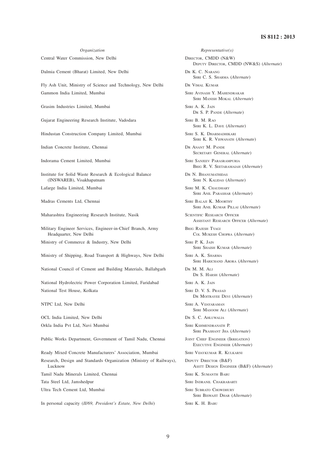Dalmia Cement (Bharat) Limited, New Delhi DR K. C. NARANG

Fly Ash Unit, Ministry of Science and Technology, New Delhi DR VIMAL KUMAR Gammon India Limited, Mumbai SHRI AVINASH Y. MAHENDRAKAR

Grasim Industries Limited, Mumbai SHRI A. K. JAIN

Gujarat Engineering Research Institute, Vadodara SHRI B. M. RAO

Hindustan Construction Company Limited, Mumbai SHRI S. K. DHARMADHIKARI

Indian Concrete Institute, Chennai DR ANANT M. PANDE

Institute for Solid Waste Research & Ecological Balance DR N. BHANUMATHIDAS (INSWAREB), Visakhapatnam SHRI N. KALIDAS (*Alternate*)

Maharashtra Engineering Research Institute, Nasik SCIENTIFIC RESEARCH OFFICER

Military Engineer Services, Engineer-in-Chief Branch, Army BRIG RAJESH TYAGI Headquarter, New Delhi COL MUKESH CHOPRA (*Alternate*)

Ministry of Commerce & Industry, New Delhi SHRI P. K. JAIN

Ministry of Shipping, Road Transport & Highways, New Delhi SHRI A. K. SHARMA

National Council of Cement and Building Materials, Ballabgarh DR M. M. ALI

National Hydrolectric Power Corporation Limited, Faridabad SHRI A. K. JAIN National Test House, Kolkata SHRI D. V. S. PRASAD

OCL India Limited, New Delhi DR S. C. AHLUWALIA Orkla India Pvt Ltd, Navi Mumbai SHRI KSHMENDRANATH P.

Public Works Department, Government of Tamil Nadu, Chennai JOINT CHIEF ENGINEER (IRRIGATION)

Ready Mixed Concrete Manufacturers' Association, Mumbai SHRI VIJAYKUMAR R. KULKARNI Research, Design and Standards Organization (Ministry of Railways), DEPUTY DIRECTOR (B&F) Lucknow ASSTT DESIGN ENGINEER (B&F) (*Alternate*) Tamil Nadu Minerals Limited, Chennai SHRI K. SUMANTH BABU Tata Steel Ltd, Jamshedpur SHRI INDRANIL CHAKRABARTI Ultra Tech Cement Ltd, Mumbai SHRI SUBRATO CHOWDHURY

In personal capacity (*II/69, President's Estate, New Delhi*) SHRI K. H. BABU

*Organization Representative(s)* Central Water Commission, New Delhi DIRECTOR, CMDD (N&W) DEPUTY DIRECTOR, CMDD (NW&S) (*Alternate*) SHRI C. S. SHARMA (*Alternate*) SHRI MANISH MOKAL (*Alternate*) DR S. P. PANDE (*Alternate*) SHRI K. L. DAVE (*Alternate*) SHRI K. R. VISWANATH (*Alternate*) SECRETARY GENERAL (*Alternate*) Indorama Cement Limited, Mumbai SHRI SANJEEV PARASRAMPURIA BRIG R. V. SEETARAMAIAH (*Alternate*) Lafarge India Limited, Mumbai SHRI M. K. CHAUDHARY SHRI ANIL PARASHAR (*Alternate*) Madras Cements Ltd, Chennai SHRI BALAJI K. MOORTHY SHRI ANIL KUMAR PILLAI (*Alternate*) ASSISTANT RESEARCH OFFICER (*Alternate*) SHRI SHAISH KUMAR (*Alternate*) SHRI HARICHAND ARORA (*Alternate*) DR S. HARSH (*Alternate*) DR MOITRAYEE DEVI (*Alternate*) NTPC Ltd, New Delhi SHRI A. VIJAYARAMAN SHRI MASOOM ALI (*Alternate*) SHRI PRASHANT JHA (*Alternate*) EXECUTIVE ENGINEER (*Alternate*) SHRI BISWAJIT DHAR (*Alternate*)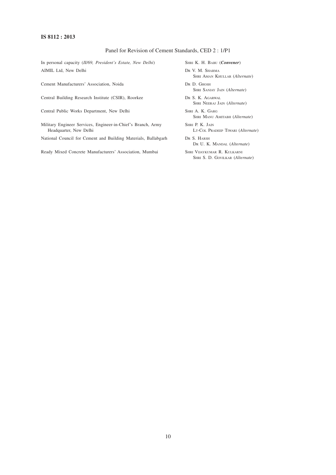#### **IS 8112 : 2013**

#### Panel for Revision of Cement Standards, CED 2 : 1/P1

In personal capacity (*II/69, President's Estate, New Delhi*) SHRI K. H. BABU (*Convener*) AIMIL Ltd, New Delhi DR V. M. SHARMA

Cement Manufacturers' Association, Noida DR D. GHOSH

Central Building Research Institute (CSIR), Roorkee DR S. K. AGARWAL

Central Public Works Department, New Delhi SHRI A. K. GARG

Military Engineer Services, Engineer-in-Chief's Branch, Army SHRI P. K. JAIN Headquarter, New Delhi LT-COL PRADEEP TIWARI (*Alternate*)

National Council for Cement and Building Materials, Ballabgarh DR S. HARSH

Ready Mixed Concrete Manufacturers' Association, Mumbai SHRI VIJAYKUMAR R. KULKARNI

SHRI AMAN KHULLAR (*Alternate*)

SHRI SANJAY JAIN (*Alternate*)

SHRI NEERAJ JAIN (*Alternate*)

SHRI MANU AMITABH (*Alternate*)

- 
- DR U. K. MANDAL (*Alternate*)

SHRI S. D. GOVILKAR (*Alternate*)